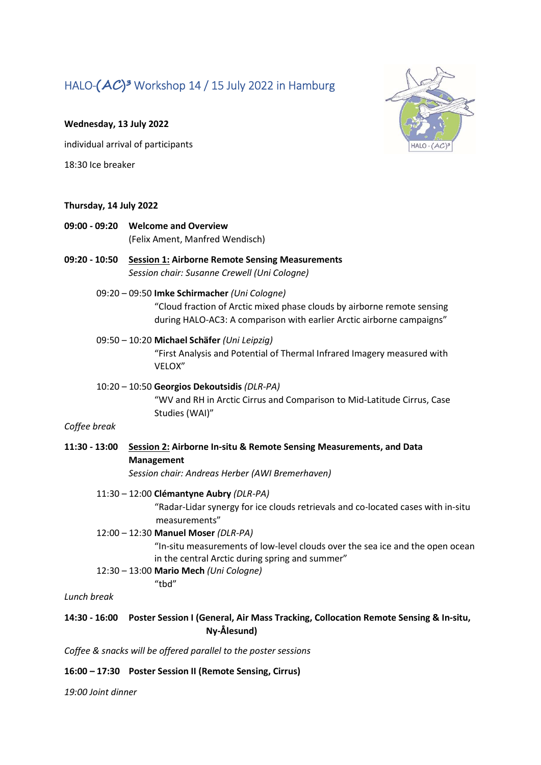# HALO- $(AC)^3$  Workshop 14 / 15 July 2022 in Hamburg



#### Wednesday, 13 July 2022

individual arrival of participants

18:30 Ice breaker

#### Thursday, 14 July 2022

- 09:00 09:20 Welcome and Overview (Felix Ament, Manfred Wendisch)
- 09:20 10:50 Session 1: Airborne Remote Sensing Measurements Session chair: Susanne Crewell (Uni Cologne)
	- 09:20 09:50 Imke Schirmacher (Uni Cologne) "Cloud fraction of Arctic mixed phase clouds by airborne remote sensing during HALO-AC3: A comparison with earlier Arctic airborne campaigns"

## 09:50 – 10:20 Michael Schäfer (Uni Leipzig)

"First Analysis and Potential of Thermal Infrared Imagery measured with VELOX"

10:20 – 10:50 Georgios Dekoutsidis (DLR-PA) "WV and RH in Arctic Cirrus and Comparison to Mid-Latitude Cirrus, Case Studies (WAI)"

#### Coffee break

11:30 - 13:00 Session 2: Airborne In-situ & Remote Sensing Measurements, and Data Management

Session chair: Andreas Herber (AWI Bremerhaven)

## 11:30 – 12:00 Clémantyne Aubry (DLR-PA)

 "Radar-Lidar synergy for ice clouds retrievals and co-located cases with in-situ measurements"

12:00 – 12:30 Manuel Moser (DLR-PA)

"tbd"

"In-situ measurements of low-level clouds over the sea ice and the open ocean in the central Arctic during spring and summer"

12:30 – 13:00 Mario Mech (Uni Cologne)

Lunch break

## 14:30 - 16:00 Poster Session I (General, Air Mass Tracking, Collocation Remote Sensing & In-situ, Ny-Ålesund)

Coffee & snacks will be offered parallel to the poster sessions

## 16:00 – 17:30 Poster Session II (Remote Sensing, Cirrus)

19:00 Joint dinner